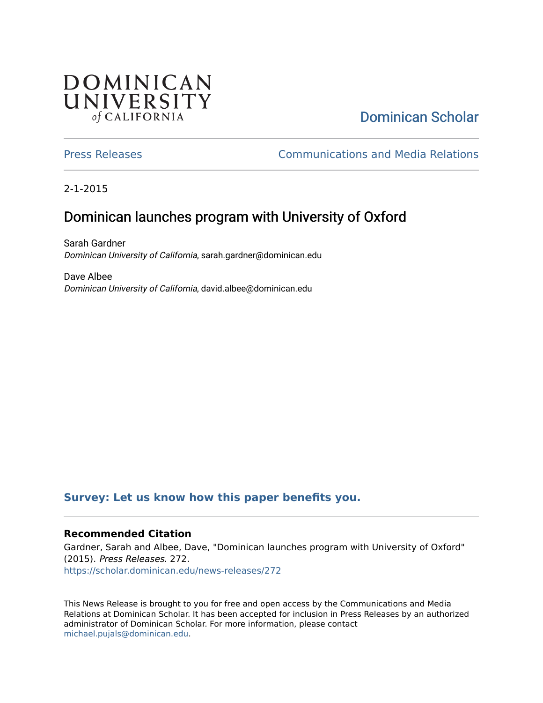## **DOMINICAN** UNIVERSITY of CALIFORNIA

# [Dominican Scholar](https://scholar.dominican.edu/)

[Press Releases](https://scholar.dominican.edu/news-releases) [Communications and Media Relations](https://scholar.dominican.edu/communications-media) 

2-1-2015

## Dominican launches program with University of Oxford

Sarah Gardner Dominican University of California, sarah.gardner@dominican.edu

Dave Albee Dominican University of California, david.albee@dominican.edu

#### **[Survey: Let us know how this paper benefits you.](https://dominican.libwizard.com/dominican-scholar-feedback)**

#### **Recommended Citation**

Gardner, Sarah and Albee, Dave, "Dominican launches program with University of Oxford" (2015). Press Releases. 272. [https://scholar.dominican.edu/news-releases/272](https://scholar.dominican.edu/news-releases/272?utm_source=scholar.dominican.edu%2Fnews-releases%2F272&utm_medium=PDF&utm_campaign=PDFCoverPages)

This News Release is brought to you for free and open access by the Communications and Media Relations at Dominican Scholar. It has been accepted for inclusion in Press Releases by an authorized administrator of Dominican Scholar. For more information, please contact [michael.pujals@dominican.edu.](mailto:michael.pujals@dominican.edu)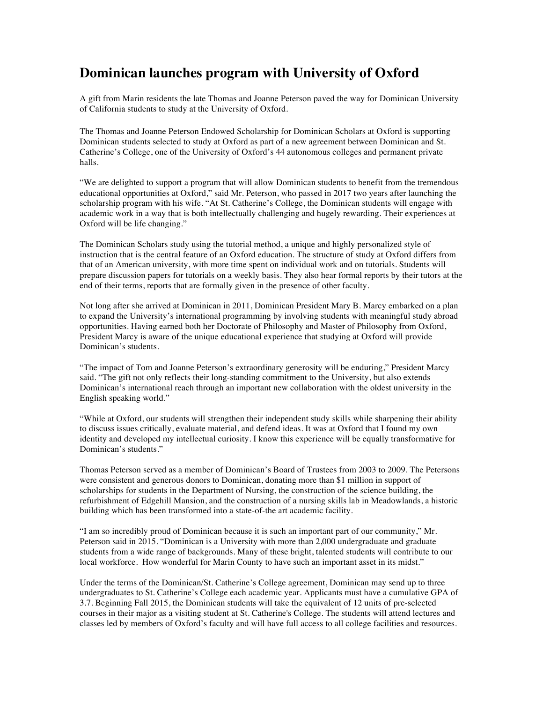### **Dominican launches program with University of Oxford**

A gift from Marin residents the late Thomas and Joanne Peterson paved the way for Dominican University of California students to study at the University of Oxford.

The Thomas and Joanne Peterson Endowed Scholarship for Dominican Scholars at Oxford is supporting Dominican students selected to study at Oxford as part of a new agreement between Dominican and St. Catherine's College, one of the University of Oxford's 44 autonomous colleges and permanent private halls.

"We are delighted to support a program that will allow Dominican students to benefit from the tremendous educational opportunities at Oxford," said Mr. Peterson, who passed in 2017 two years after launching the scholarship program with his wife. "At St. Catherine's College, the Dominican students will engage with academic work in a way that is both intellectually challenging and hugely rewarding. Their experiences at Oxford will be life changing."

The Dominican Scholars study using the tutorial method, a unique and highly personalized style of instruction that is the central feature of an Oxford education. The structure of study at Oxford differs from that of an American university, with more time spent on individual work and on tutorials. Students will prepare discussion papers for tutorials on a weekly basis. They also hear formal reports by their tutors at the end of their terms, reports that are formally given in the presence of other faculty.

Not long after she arrived at Dominican in 2011, Dominican President Mary B. Marcy embarked on a plan to expand the University's international programming by involving students with meaningful study abroad opportunities. Having earned both her Doctorate of Philosophy and Master of Philosophy from Oxford, President Marcy is aware of the unique educational experience that studying at Oxford will provide Dominican's students.

"The impact of Tom and Joanne Peterson's extraordinary generosity will be enduring," President Marcy said. "The gift not only reflects their long-standing commitment to the University, but also extends Dominican's international reach through an important new collaboration with the oldest university in the English speaking world."

"While at Oxford, our students will strengthen their independent study skills while sharpening their ability to discuss issues critically, evaluate material, and defend ideas. It was at Oxford that I found my own identity and developed my intellectual curiosity. I know this experience will be equally transformative for Dominican's students."

Thomas Peterson served as a member of Dominican's Board of Trustees from 2003 to 2009. The Petersons were consistent and generous donors to Dominican, donating more than \$1 million in support of scholarships for students in the Department of Nursing, the construction of the science building, the refurbishment of Edgehill Mansion, and the construction of a nursing skills lab in Meadowlands, a historic building which has been transformed into a state-of-the art academic facility.

"I am so incredibly proud of Dominican because it is such an important part of our community," Mr. Peterson said in 2015. "Dominican is a University with more than 2,000 undergraduate and graduate students from a wide range of backgrounds. Many of these bright, talented students will contribute to our local workforce. How wonderful for Marin County to have such an important asset in its midst."

Under the terms of the Dominican/St. Catherine's College agreement, Dominican may send up to three undergraduates to St. Catherine's College each academic year. Applicants must have a cumulative GPA of 3.7. Beginning Fall 2015, the Dominican students will take the equivalent of 12 units of pre-selected courses in their major as a visiting student at St. Catherine's College. The students will attend lectures and classes led by members of Oxford's faculty and will have full access to all college facilities and resources.